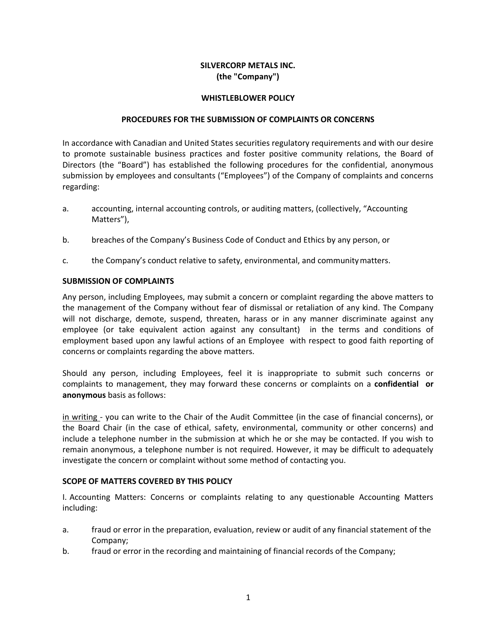# **SILVERCORP METALS INC. (the "Company")**

## **WHISTLEBLOWER POLICY**

### **PROCEDURES FOR THE SUBMISSION OF COMPLAINTS OR CONCERNS**

In accordance with Canadian and United States securities regulatory requirements and with our desire to promote sustainable business practices and foster positive community relations, the Board of Directors (the "Board") has established the following procedures for the confidential, anonymous submission by employees and consultants ("Employees") of the Company of complaints and concerns regarding:

- a. accounting, internal accounting controls, or auditing matters, (collectively, "Accounting Matters"),
- b. breaches of the Company's Business Code of Conduct and Ethics by any person, or
- c. the Company's conduct relative to safety, environmental, and community matters.

### **SUBMISSION OF COMPLAINTS**

Any person, including Employees, may submit a concern or complaint regarding the above matters to the management of the Company without fear of dismissal or retaliation of any kind. The Company will not discharge, demote, suspend, threaten, harass or in any manner discriminate against any employee (or take equivalent action against any consultant) in the terms and conditions of employment based upon any lawful actions of an Employee with respect to good faith reporting of concerns or complaints regarding the above matters.

Should any person, including Employees, feel it is inappropriate to submit such concerns or complaints to management, they may forward these concerns or complaints on a **confidential or anonymous** basis as follows:

in writing ‐ you can write to the Chair of the Audit Committee (in the case of financial concerns), or the Board Chair (in the case of ethical, safety, environmental, community or other concerns) and include a telephone number in the submission at which he or she may be contacted. If you wish to remain anonymous, a telephone number is not required. However, it may be difficult to adequately investigate the concern or complaint without some method of contacting you.

#### **SCOPE OF MATTERS COVERED BY THIS POLICY**

I. Accounting Matters: Concerns or complaints relating to any questionable Accounting Matters including:

- a. fraud or error in the preparation, evaluation, review or audit of any financial statement of the Company;
- b. fraud or error in the recording and maintaining of financial records of the Company;